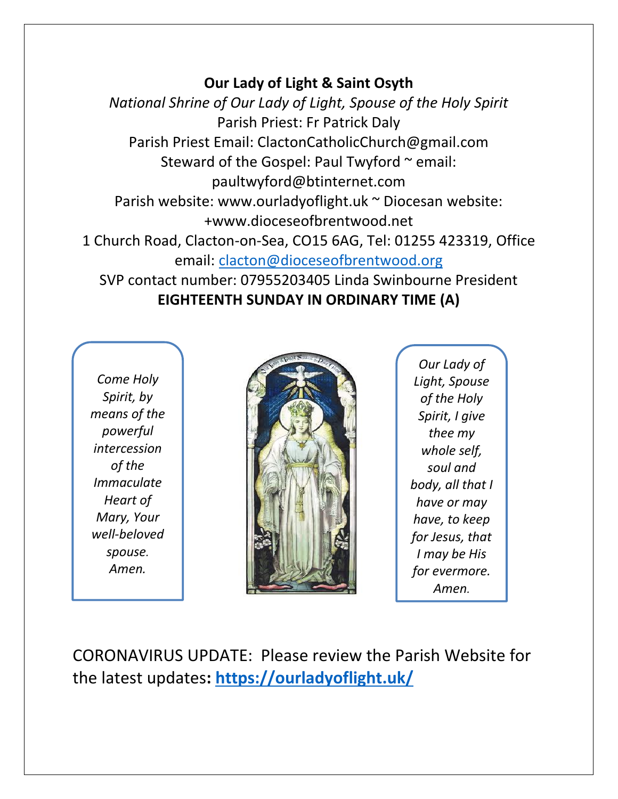#### **Our Lady of Light & Saint Osyth**

*National Shrine of Our Lady of Light, Spouse of the Holy Spirit* Parish Priest: Fr Patrick Daly Parish Priest Email: ClactonCatholicChurch@gmail.com Steward of the Gospel: Paul Twyford  $\sim$  email: paultwyford@btinternet.com Parish website: www.ourladyoflight.uk ~ Diocesan website: +www.dioceseofbrentwood.net 1 Church Road, Clacton-on-Sea, CO15 6AG, Tel: 01255 423319, Office email: [clacton@dioceseofbrentwood.org](mailto:clacton@dioceseofbrentwood.org) SVP contact number: 07955203405 Linda Swinbourne President **EIGHTEENTH SUNDAY IN ORDINARY TIME (A)**

*Come Holy Spirit, by means of the powerful intercession of the Immaculate Heart of Mary, Your well-beloved spouse. Amen.*



*Our Lady of Light, Spouse of the Holy Spirit, I give thee my whole self, soul and body, all that I have or may have, to keep for Jesus, that I may be His for evermore. Amen.*

CORONAVIRUS UPDATE: Please review the Parish Website for the latest updates**:<https://ourladyoflight.uk/>**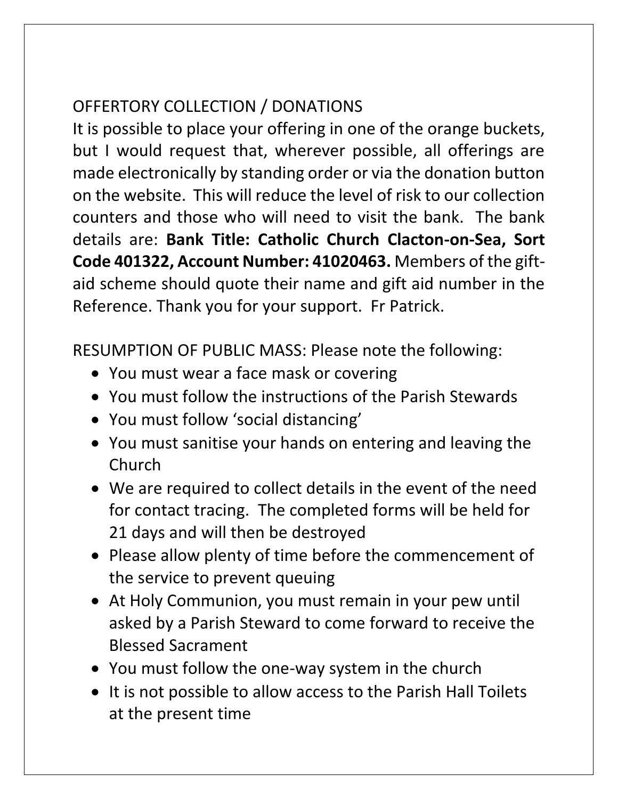# OFFERTORY COLLECTION / DONATIONS

It is possible to place your offering in one of the orange buckets, but I would request that, wherever possible, all offerings are made electronically by standing order or via the donation button on the website. This will reduce the level of risk to our collection counters and those who will need to visit the bank. The bank details are: **Bank Title: Catholic Church Clacton-on-Sea, Sort Code 401322, Account Number: 41020463.** Members of the giftaid scheme should quote their name and gift aid number in the Reference. Thank you for your support. Fr Patrick.

RESUMPTION OF PUBLIC MASS: Please note the following:

- You must wear a face mask or covering
- You must follow the instructions of the Parish Stewards
- You must follow 'social distancing'
- You must sanitise your hands on entering and leaving the Church
- We are required to collect details in the event of the need for contact tracing. The completed forms will be held for 21 days and will then be destroyed
- Please allow plenty of time before the commencement of the service to prevent queuing
- At Holy Communion, you must remain in your pew until asked by a Parish Steward to come forward to receive the Blessed Sacrament
- You must follow the one-way system in the church
- It is not possible to allow access to the Parish Hall Toilets at the present time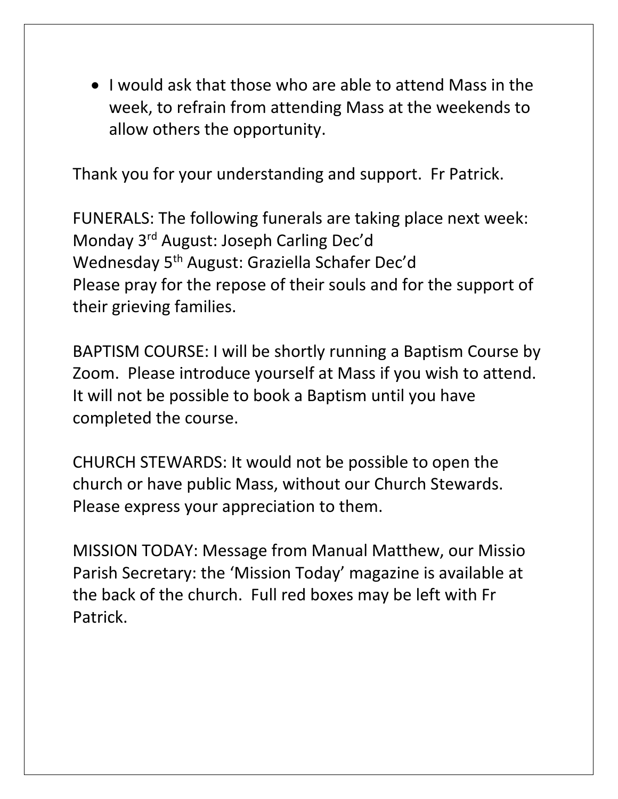• I would ask that those who are able to attend Mass in the week, to refrain from attending Mass at the weekends to allow others the opportunity.

Thank you for your understanding and support. Fr Patrick.

FUNERALS: The following funerals are taking place next week: Monday 3rd August: Joseph Carling Dec'd Wednesday 5th August: Graziella Schafer Dec'd Please pray for the repose of their souls and for the support of their grieving families.

BAPTISM COURSE: I will be shortly running a Baptism Course by Zoom. Please introduce yourself at Mass if you wish to attend. It will not be possible to book a Baptism until you have completed the course.

CHURCH STEWARDS: It would not be possible to open the church or have public Mass, without our Church Stewards. Please express your appreciation to them.

MISSION TODAY: Message from Manual Matthew, our Missio Parish Secretary: the 'Mission Today' magazine is available at the back of the church. Full red boxes may be left with Fr Patrick.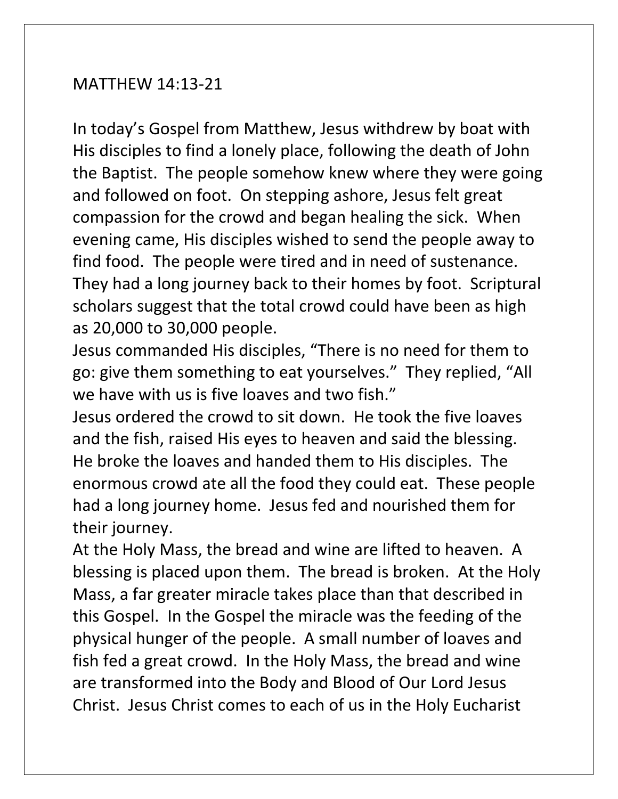### MATTHEW 14:13-21

In today's Gospel from Matthew, Jesus withdrew by boat with His disciples to find a lonely place, following the death of John the Baptist. The people somehow knew where they were going and followed on foot. On stepping ashore, Jesus felt great compassion for the crowd and began healing the sick. When evening came, His disciples wished to send the people away to find food. The people were tired and in need of sustenance. They had a long journey back to their homes by foot. Scriptural scholars suggest that the total crowd could have been as high as 20,000 to 30,000 people.

Jesus commanded His disciples, "There is no need for them to go: give them something to eat yourselves." They replied, "All we have with us is five loaves and two fish."

Jesus ordered the crowd to sit down. He took the five loaves and the fish, raised His eyes to heaven and said the blessing. He broke the loaves and handed them to His disciples. The enormous crowd ate all the food they could eat. These people had a long journey home. Jesus fed and nourished them for their journey.

At the Holy Mass, the bread and wine are lifted to heaven. A blessing is placed upon them. The bread is broken. At the Holy Mass, a far greater miracle takes place than that described in this Gospel. In the Gospel the miracle was the feeding of the physical hunger of the people. A small number of loaves and fish fed a great crowd. In the Holy Mass, the bread and wine are transformed into the Body and Blood of Our Lord Jesus Christ. Jesus Christ comes to each of us in the Holy Eucharist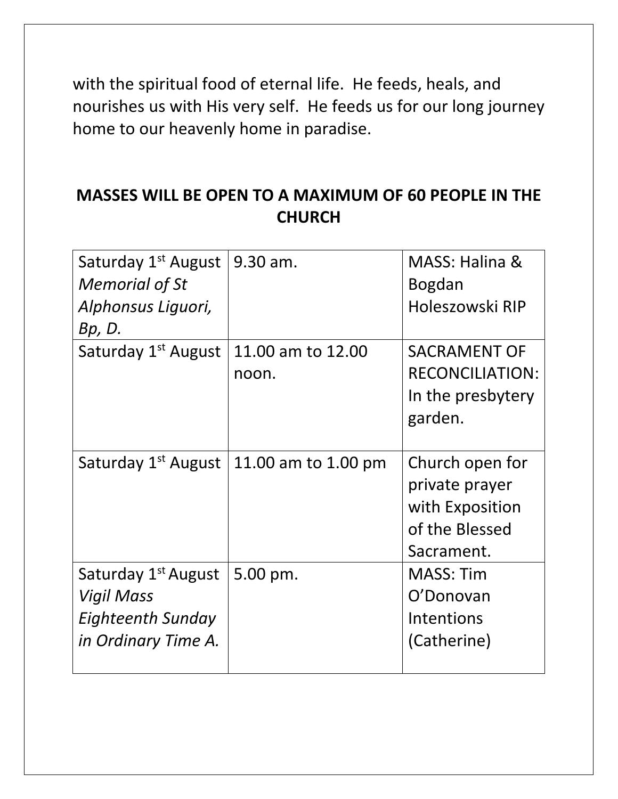with the spiritual food of eternal life. He feeds, heals, and nourishes us with His very self. He feeds us for our long journey home to our heavenly home in paradise.

### **MASSES WILL BE OPEN TO A MAXIMUM OF 60 PEOPLE IN THE CHURCH**

| Saturday 1 <sup>st</sup> August<br><b>Memorial of St</b><br>Alphonsus Liguori,<br>Bp, D.         | 9.30 am.                   | MASS: Halina &<br><b>Bogdan</b><br>Holeszowski RIP                                   |
|--------------------------------------------------------------------------------------------------|----------------------------|--------------------------------------------------------------------------------------|
| Saturday 1 <sup>st</sup> August                                                                  | 11.00 am to 12.00<br>noon. | <b>SACRAMENT OF</b><br><b>RECONCILIATION:</b><br>In the presbytery<br>garden.        |
| Saturday 1 <sup>st</sup> August                                                                  | 11.00 am to 1.00 pm        | Church open for<br>private prayer<br>with Exposition<br>of the Blessed<br>Sacrament. |
| Saturday 1 <sup>st</sup> August<br>Vigil Mass<br><b>Eighteenth Sunday</b><br>in Ordinary Time A. | 5.00 pm.                   | <b>MASS: Tim</b><br>O'Donovan<br><b>Intentions</b><br>(Catherine)                    |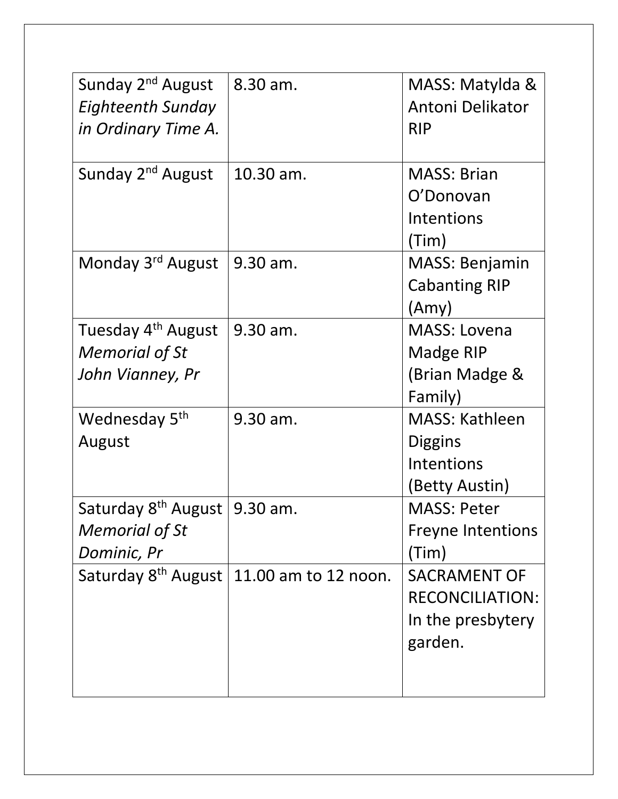| Sunday 2 <sup>nd</sup> August<br><b>Eighteenth Sunday</b><br>in Ordinary Time A. | 8.30 am.                                        | MASS: Matylda &<br>Antoni Delikator<br><b>RIP</b>                             |
|----------------------------------------------------------------------------------|-------------------------------------------------|-------------------------------------------------------------------------------|
| Sunday 2 <sup>nd</sup> August                                                    | 10.30 am.                                       | <b>MASS: Brian</b><br>O'Donovan<br>Intentions<br>(Tim)                        |
| Monday 3 <sup>rd</sup> August                                                    | 9.30 am.                                        | <b>MASS: Benjamin</b><br><b>Cabanting RIP</b><br>(Amy)                        |
| Tuesday 4 <sup>th</sup> August<br><b>Memorial of St</b><br>John Vianney, Pr      | 9.30 am.                                        | <b>MASS: Lovena</b><br>Madge RIP<br>(Brian Madge &<br>Family)                 |
| Wednesday 5th<br>August                                                          | 9.30 am.                                        | <b>MASS: Kathleen</b><br><b>Diggins</b><br>Intentions<br>(Betty Austin)       |
| Saturday $8th$ August   9.30 am.<br><b>Memorial of St</b><br>Dominic, Pr         |                                                 | <b>MASS: Peter</b><br><b>Freyne Intentions</b><br>(Tim)                       |
|                                                                                  | Saturday $8^{th}$ August   11.00 am to 12 noon. | <b>SACRAMENT OF</b><br><b>RECONCILIATION:</b><br>In the presbytery<br>garden. |